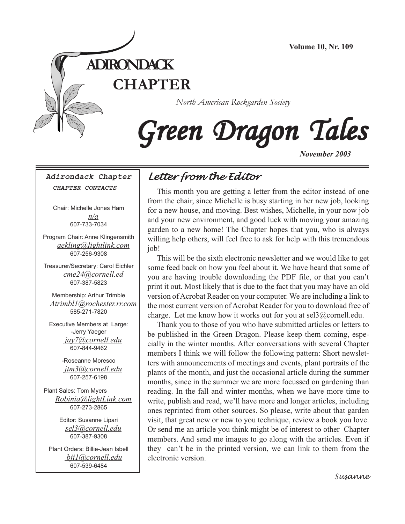

# Green Dragon Tales

*November 2003*

**Adirondack Chapter CHAPTER CONTACTS**

Chair: Michelle Jones Ham *n/a* 607-733-7034

Program Chair: Anne Klingensmith *aekling@lightlink.com* 607-256-9308

Treasurer/Secretary: Carol Eichler *cme24@cornell.ed* 607-387-5823

Membership: Arthur Trimble *[Atrimbl1@rochester.rr.com](mailto:Atrimbl1@rochester.rr.com)* 585-271-7820

Executive Members at Large: -Jerry Yaeger *[jay7@cornell.edu](mailto:jay7@cornell.edu)* 607-844-9462

> -Roseanne Moresco *[jtm3@cornell.edu](mailto:jtm3@cornell.edu)* 607-257-6198

Plant Sales: Tom Myers *[Robinia@lightLink.com](mailto:Robinia@lightLink.com)* 607-273-2865

> Editor: Susanne Lipari *[sel3@cornell.edu](mailto:sel3@cornell.edu)* 607-387-9308

Plant Orders: Billie-Jean Isbell  *[bji1@cornell.edu](mailto: bji1@cornell.edu|)* [607-539-6484](mailto: bji1@cornell.edu|)

## *Letter from the Editor*

This month you are getting a letter from the editor instead of one from the chair, since Michelle is busy starting in her new job, looking for a new house, and moving. Best wishes, Michelle, in your now job and your new environment, and good luck with moving your amazing garden to a new home! The Chapter hopes that you, who is always willing help others, will feel free to ask for help with this tremendous job!

This will be the sixth electronic newsletter and we would like to get some feed back on how you feel about it. We have heard that some of you are having trouble downloading the PDF file, or that you can't print it out. Most likely that is due to the fact that you may have an old version of Acrobat Reader on your computer. We are including a link to the most current version of Acrobat Reader for you to download free of charge. Let me know how it works out for you at  $\text{sel3}(a)$  cornell.edu.

 $\ddot{\phantom{1}}$ Thank you to those of you who have submitted articles or letters to be published in the Green Dragon. Please keep them coming, especially in the winter months. After conversations with several Chapter members I think we will follow the following pattern: Short newsletters with announcements of meetings and events, plant portraits of the plants of the month, and just the occasional article during the summer months, since in the summer we are more focussed on gardening than reading. In the fall and winter months, when we have more time to write, publish and read, we'll have more and longer articles, including ones reprinted from other sources. So please, write about that garden visit, that great new or new to you technique, review a book you love. Or send me an article you think might be of interest to other Chapter members. And send me images to go along with the articles. Even if they can't be in the printed version, we can link to them from the electronic version.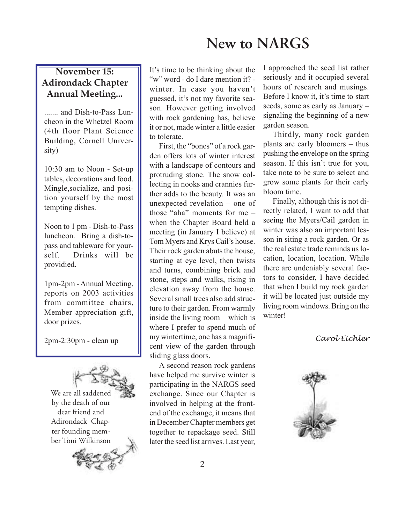## **New to NARGS**

#### **November 15: Adirondack Chapter Annual Meeting...**

....... and Dish-to-Pass Luncheon in the Whetzel Room (4th floor Plant Science Building, Cornell University)

10:30 am to Noon - Set-up tables, decorations and food. Mingle,socialize, and position yourself by the most tempting dishes.

Noon to 1 pm - Dish-to-Pass luncheon. Bring a dish-topass and tableware for yourself. Drinks will be providied.

1pm-2pm - Annual Meeting, reports on 2003 activities from committee chairs, Member appreciation gift, door prizes.

2pm-2:30pm - clean up

We are all saddened by the death of our dear friend and Adirondack Chapter founding member Toni Wilkinson



It's time to be thinking about the "w" word - do I dare mention it? winter. In case you haven't guessed, it's not my favorite season. However getting involved with rock gardening has, believe it or not, made winter a little easier to tolerate.

First, the "bones" of a rock garden offers lots of winter interest with a landscape of contours and protruding stone. The snow collecting in nooks and crannies further adds to the beauty. It was an unexpected revelation – one of those "aha" moments for me – when the Chapter Board held a meeting (in January I believe) at Tom Myers and Krys Cail's house. Their rock garden abuts the house, starting at eye level, then twists and turns, combining brick and stone, steps and walks, rising in elevation away from the house. Several small trees also add structure to their garden. From warmly inside the living room – which is where I prefer to spend much of my wintertime, one has a magnificent view of the garden through sliding glass doors.

A second reason rock gardens have helped me survive winter is participating in the NARGS seed exchange. Since our Chapter is involved in helping at the frontend of the exchange, it means that in December Chapter members get together to repackage seed. Still later the seed list arrives. Last year, I approached the seed list rather seriously and it occupied several hours of research and musings. Before I know it, it's time to start seeds, some as early as January – signaling the beginning of a new garden season.

Thirdly, many rock garden plants are early bloomers – thus pushing the envelope on the spring season. If this isn't true for you, take note to be sure to select and grow some plants for their early bloom time.

Finally, although this is not directly related, I want to add that seeing the Myers/Cail garden in winter was also an important lesson in siting a rock garden. Or as the real estate trade reminds us location, location, location. While there are undeniably several factors to consider, I have decided that when I build my rock garden it will be located just outside my living room windows. Bring on the winter!

#### *Carol Eichler*

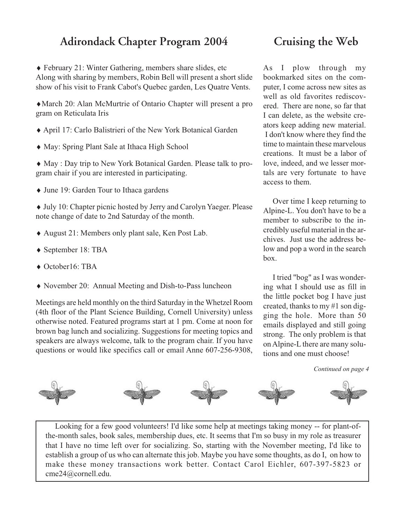## **Adirondack Chapter Program 2004 Cruising the Web**

♦ February 21: Winter Gathering, members share slides, etc Along with sharing by members, Robin Bell will present a short slide show of his visit to Frank Cabot's Quebec garden, Les Quatre Vents.

♦March 20: Alan McMurtrie of Ontario Chapter will present a pro gram on Reticulata Iris

- ♦ April 17: Carlo Balistrieri of the New York Botanical Garden
- ♦ May: Spring Plant Sale at Ithaca High School

♦ May : Day trip to New York Botanical Garden. Please talk to program chair if you are interested in participating.

♦ June 19: Garden Tour to Ithaca gardens

♦ July 10: Chapter picnic hosted by Jerry and Carolyn Yaeger. Please note change of date to 2nd Saturday of the month.

- ♦ August 21: Members only plant sale, Ken Post Lab.
- ♦ September 18: TBA
- ◆ October16: TBA
- ♦ November 20: Annual Meeting and Dish-to-Pass luncheon

Meetings are held monthly on the third Saturday in the Whetzel Room (4th floor of the Plant Science Building, Cornell University) unless otherwise noted. Featured programs start at 1 pm. Come at noon for brown bag lunch and socializing. Suggestions for meeting topics and speakers are always welcome, talk to the program chair. If you have questions or would like specifics call or email Anne 607-256-9308,

As I plow through my bookmarked sites on the computer, I come across new sites as well as old favorites rediscovered. There are none, so far that I can delete, as the website creators keep adding new material. I don't know where they find the time to maintain these marvelous creations. It must be a labor of love, indeed, and we lesser mortals are very fortunate to have access to them.

Over time I keep returning to Alpine-L. You don't have to be a member to subscribe to the incredibly useful material in the archives. Just use the address below and pop a word in the search box.

I tried "bog" as I was wondering what I should use as fill in the little pocket bog I have just created, thanks to my #1 son digging the hole. More than 50 emails displayed and still going strong. The only problem is that on Alpine-L there are many solutions and one must choose!

*Continued on page 4*



make these money transactions work better. Contact Carol Eichler, 607-397-5823 or Looking for a few good volunteers! I'd like some help at meetings taking money -- for plant-ofthe-month sales, book sales, membership dues, etc. It seems that I'm so busy in my role as treasurer that I have no time left over for socializing. So, starting with the November meeting, I'd like to establish a group of us who can alternate this job. Maybe you have some thoughts, as do I, on how to [cme24@cornell.edu.](mailto:cme24@cornell.ed)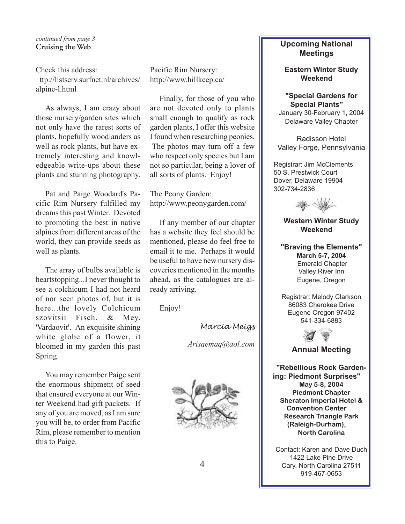*continued from page 3* **Cruising the Web**

Check this address:

[http://listserv.surfnet.nl/archives/](http://listserv.surfnet.nl/archives/alpine-l.html) [alpine-l.html](http://listserv.surfnet.nl/archives/alpine-l.html)

As always, I am crazy about those nursery/garden sites which not only have the rarest sorts of plants, hopefully woodlanders as well as rock plants, but have extremely interesting and knowledgeable write-ups about these plants and stunning photography.

Pat and Paige Woodard's Pacific Rim Nursery fulfilled my dreams this past Winter. Devoted to promoting the best in native alpines from different areas of the world, they can provide seeds as well as plants.

The array of bulbs available is heartstopping...I never thought to see a colchicum I had not heard of nor seen photos of, but it is here...the lovely Colchicum szovitsii Fisch. & Mey. 'Vardaovit'. An exquisite shining white globe of a flower, it bloomed in my garden this past Spring.

You may remember Paige sent the enormous shipment of seed that ensured everyone at our Winter Weekend had gift packets. If any of you are moved, as I am sure you will be, to order from Pacific Rim, please remember to mention this to Paige.

Pacific Rim Nursery: <http://www.hillkeep.ca/>

Finally, for those of you who are not devoted only to plants small enough to qualify as rock garden plants, I offer this website I found when researching peonies. The photos may turn off a few who respect only species but I am not so particular, being a lover of all sorts of plants. Enjoy!

The Peony Garden: <http://www.peonygarden.com/>

If any member of our chapter has a website they feel should be mentioned, please do feel free to email it to me. Perhaps it would be useful to have new nursery discoveries mentioned in the months ahead, as the catalogues are already arriving.

Enjoy!

*Marcia Meigs*

*[Arisaemaq@aol.com](mailto:Arisaemaq@aol.com)*



#### **Upcoming National Meetings**

**Eastern Winter Study Weekend**

**"Special Gardens for Special Plants"** January 30-February 1, 2004 Delaware Valley Chapter

Radisson Hotel Valley Forge, Pennsylvania

Registrar: Jim McClements 50 S. Prestwick Court Dover, Delaware 19904 302-734-2836



#### **Western Winter Study Weekend**

**"Braving the Elements" March 5-7, 2004** Emerald Chapter Valley River Inn Eugene, Oregon

Registrar: Melody Clarkson 86083 Cherokee Drive Eugene Oregon 97402 541-334-6883



#### **Annual Meeting**

**"Rebellious Rock Gardening: Piedmont Surprises" May 5-8, 2004 Piedmont Chapter Sheraton Imperial Hotel & Convention Center Research Triangle Park (Raleigh-Durham), North Carolina**

Contact: Karen and Dave Duch 1422 Lake Pine Drive Cary, North Carolina 27511 919-467-0653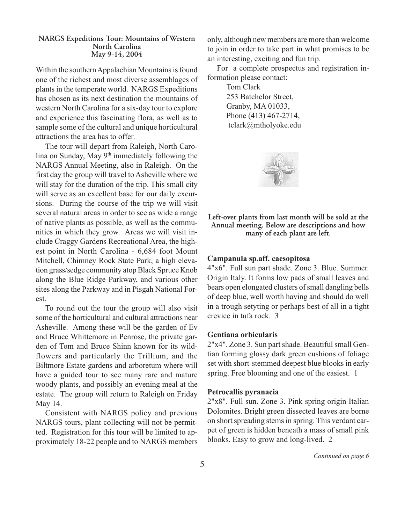#### **NARGS Expeditions Tour: Mountains of Western North Carolina May 9-14, 2004**

Within the southern Appalachian Mountains is found one of the richest and most diverse assemblages of plants in the temperate world. NARGS Expeditions has chosen as its next destination the mountains of western North Carolina for a six-day tour to explore and experience this fascinating flora, as well as to sample some of the cultural and unique horticultural attractions the area has to offer.

The tour will depart from Raleigh, North Carolina on Sunday, May 9<sup>th</sup> immediately following the NARGS Annual Meeting, also in Raleigh. On the first day the group will travel to Asheville where we will stay for the duration of the trip. This small city will serve as an excellent base for our daily excursions. During the course of the trip we will visit several natural areas in order to see as wide a range of native plants as possible, as well as the communities in which they grow. Areas we will visit include Craggy Gardens Recreational Area, the highest point in North Carolina - 6,684 foot Mount Mitchell, Chimney Rock State Park, a high elevation grass/sedge community atop Black Spruce Knob along the Blue Ridge Parkway, and various other sites along the Parkway and in Pisgah National Forest.

To round out the tour the group will also visit some of the horticultural and cultural attractions near Asheville. Among these will be the garden of Ev and Bruce Whittemore in Penrose, the private garden of Tom and Bruce Shinn known for its wildflowers and particularly the Trillium, and the Biltmore Estate gardens and arboretum where will have a guided tour to see many rare and mature woody plants, and possibly an evening meal at the estate. The group will return to Raleigh on Friday May 14.

Consistent with NARGS policy and previous NARGS tours, plant collecting will not be permitted. Registration for this tour will be limited to approximately 18-22 people and to NARGS members only, although new members are more than welcome to join in order to take part in what promises to be an interesting, exciting and fun trip.

For a complete prospectus and registration information please contact:

> Tom Clark 253 Batchelor Street, Granby, MA 01033, Phone (413) 467-2714,  [tclark@mtholyoke.edu](mailto:tclark@mtholyoke.edu|)



**Left-over plants from last month will be sold at the Annual meeting. Below are descriptions and how many of each plant are left.**

#### **Campanula sp.aff. caesopitosa**

4"x6". Full sun part shade. Zone 3. Blue. Summer. Origin Italy. It forms low pads of small leaves and bears open elongated clusters of small dangling bells of deep blue, well worth having and should do well in a trough setyting or perhaps best of all in a tight crevice in tufa rock. 3

#### **Gentiana orbicularis**

2"x4". Zone 3. Sun part shade. Beautiful small Gentian forming glossy dark green cushions of foliage set with short-stemmed deepest blue blooks in early spring. Free blooming and one of the easiest. 1

#### **Petrocallis pyranacia**

2"x8". Full sun. Zone 3. Pink spring origin Italian Dolomites. Bright green dissected leaves are borne on short spreading stems in spring. This verdant carpet of green is hidden beneath a mass of small pink blooks. Easy to grow and long-lived. 2